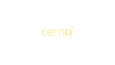

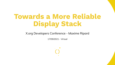# Towards a More Reliable Display Stack

### X.org Developers Conference - Maxime Ripard

17/09/2021 - Virtual

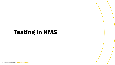# Testing in KMS

3 -<https://www.cerno.tech>/ [maxime@cerno.tech](mailto:maxime@cerno.tech)

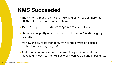# KMS Succeeded

- Thanks to the massive effort to make DRM/KMS easier, more than 60 KMS Drivers in tree (and counting)
- 1500-2000 patches to drivers/gpu/drm each release •
- fbdev is now pretty much dead, and only the uAPI is still (slightly) relevant
- It's now the de-facto standard, with all the drivers and displayrelated features targeting KMS.
- And on a maintenance front, the use of helpers in most drivers make it fairly easy to maintain as well given its size and importance.

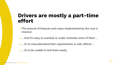### Drivers are mostly a part-time effort

- The amount of features and cases implemented by the core is massive
- ... And it's easy to overlook or under-estimate some of them ... •
- ... Or to misunderstand their requirements or side-effects ... •
- ... Or to be unable to test them easily. •

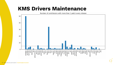### KMS Drivers Maintenance

Number of contributors with more than 1 patch every release



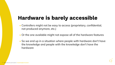# Hardware is barely accessible

Controllers might not be easy to access (proprietary, confidential, •



- not produced anymore, etc.)
- Or the one available might not expose all of the hardware features
- So we end up in a situation where people with hardware don't have the knowledge and people with the knowledge don't have the hardware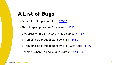# A List of Bugs

- Scrambling Support Addition: [#4302](https://github.com/raspberrypi/linux/pull/4302)
- Short hotplug pulse aren't detected: [#4313](https://github.com/raspberrypi/linux/pull/4313)
- CPU crash with CEC access while disabled: [#4319](https://github.com/raspberrypi/linux/issues/4319)
- TV remains black out of standby in 4k: [#4411](https://github.com/raspberrypi/linux/issues/4411)
- TV remains black out of standby in 4k, with Kodi: [#4486](https://github.com/raspberrypi/linux/issues/4486)
- Deadlock when waking up a TV with CEC: [#4553](https://github.com/raspberrypi/linux/issues/4553)

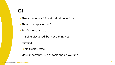### CI

- These issues are fairly standard behaviour •
- Should be reported by CI
- FreeDesktop GitLab
	- Being discussed, but not a thing yet ◦
- KernelCI
	- No display tests ◦
- More importantly, which tools should we run? •

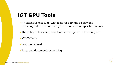# IGT GPU Tools

• ~2000 Tests

- An extensive test suite, with tests for both the display and rendering sides, and for both generic and vendor-specific features
- The policy to test every new feature through an IGT test is great •



Well maintained •

Tests and documents everything •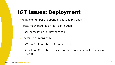# IGT Issues: Deployment

- Fairly big number of dependencies (and big ones) •
- Pretty much requires a "real" distribution •
- Cross-compilation is fairly hard too •
- Docker helps marginally:
	- We can't always have Docker / podman ◦
	- A build of IGT with Dockerfile.build-debian-minimal takes around 700MB

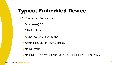# Typical Embedded Device

- An Embedded Device has:
	- One (weak) CPU ◦
	- 64MB of RAM or more ◦
	- A discrete GPU (sometimes) ◦
	- Around 128MB of Flash Storage ◦
	- No Network ◦
	-

• No HDMI, DisplayPort but rather MIPI-DPI, MIPI-DSI or LVDS

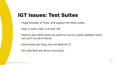## IGT Issues: Test Suites

- Huge Number of Tests, and support for tests suites
- Only 3 users: intel, vc4 and v3d •
- Hard to see which tests we want to run on a given platform (and we can't run all of them)
- Some tests are long, and not ideal for CI •
- No suite that any driver must pass •

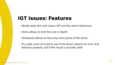### IGT Issues: Features

- Mostly tests the user-space API and the driver behaviour •
- Vkms allows to test the core in depth •
- Writeback allows to test only some parts of the driver •
- It's really more of a test to see if the driver reports an error and behaves properly, not if the result is actually valid

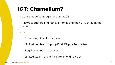# IGT: Chamelium?

- Device made by Google for ChromeOS
- network

### • But:

### Allows to capture and retrieve frames and their CRC through the •



- Expensive, difficult to source ◦
- Limited number of input (HDMI, DisplayPort, VGA) ◦
- Requires a network connection ◦
- Limited testing and difficult to extend (VHDL) ◦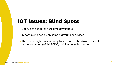# IGT Issues: Blind Spots

- Difficult to setup for part-time developers •
- Impossible to deploy on some platforms or devices
- The driver might have no way to tell that the hardware doesn't output anything (HDMI SCDC, Unidirectional busses, etc.)

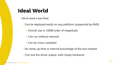# Ideal World

- We'd need a tool that:
	- Can be deployed easily on any platform (supported by KMS)
		- **Overall size in 10MB order of magnitude**
		- Can run without network
		- **Can be cross-compiled**
	- No ramp-up time or internal knowledge of the tool needed ◦
	- Can test the driver output, with cheap hardware

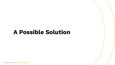# A Possible Solution

18 -<https://www.cerno.tech>/ [maxime@cerno.tech](mailto:maxime@cerno.tech)

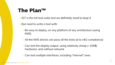## The Plan™

- IGT is the full test-suite and we definitely need to keep it
- But need to write a tool with:
	- Be easy to deploy, on any platform of any architecture (using KMS)
	- All the KMS drivers can pass all the tests (à la v4l2-compliance) ◦
	- Can test the display output, using relatively cheap (~100\$) hardware, and without network
	- Can test multiple interfaces, including "internal" ones ◦

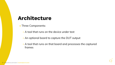### Architecture

Three Components: •

- A tool that runs on the device under test ◦
- An optional board to capture the DUT output ◦
- A tool that runs on that board and processes the captured frames

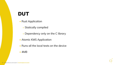### DUT

- Rust Application
	- Statically compiled ◦
	- Dependency only on the C library ◦
- Atomic KMS Application
- Runs all the local tests on the device •
- 4MB

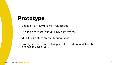# Prototype

- Based on an HDMI to MIPI-CSI Bridge
- Available to most (but MIPI-DSI?) interfaces •
- MIPI-CSI Capture pretty ubiquitous too
- Prototype based on the RaspberryPi3 and Pi4 and Toshiba TC358743XBG Bridge

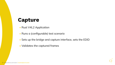### Capture

- Rust V4L2 Application
- Runs a (configurable) test scenario •
- 
- Validates the captured frames •

Sets up the bridge and capture interface, sets the EDID •

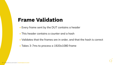## Frame Validation

- Every frame sent by the DUT contains a header •
- This header contains a counter and a hash •
- Validates that the frames are in order, and that the hash is correct •
- Takes 3-7ms to process a 1920x1080 frame

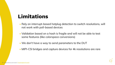# Limitations

- Rely on interrupt-based hotplug detection to switch resolutions, will not work with poll-based devices
- Validation based on a hash is fragile and will not be able to test some features (like colorspace conversions)
- We don't have a way to send parameters to the DUT •
- MIPI-CSI bridges and capture devices for 4k resolutions are rare

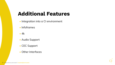# Additional Features

- Integration into a CI environment
- Infoframes
- 4k
- Audio Support •
- CEC Support
- Other Interfaces •

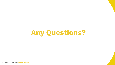

27 -<https://www.cerno.tech>/ [maxime@cerno.tech](mailto:maxime@cerno.tech)